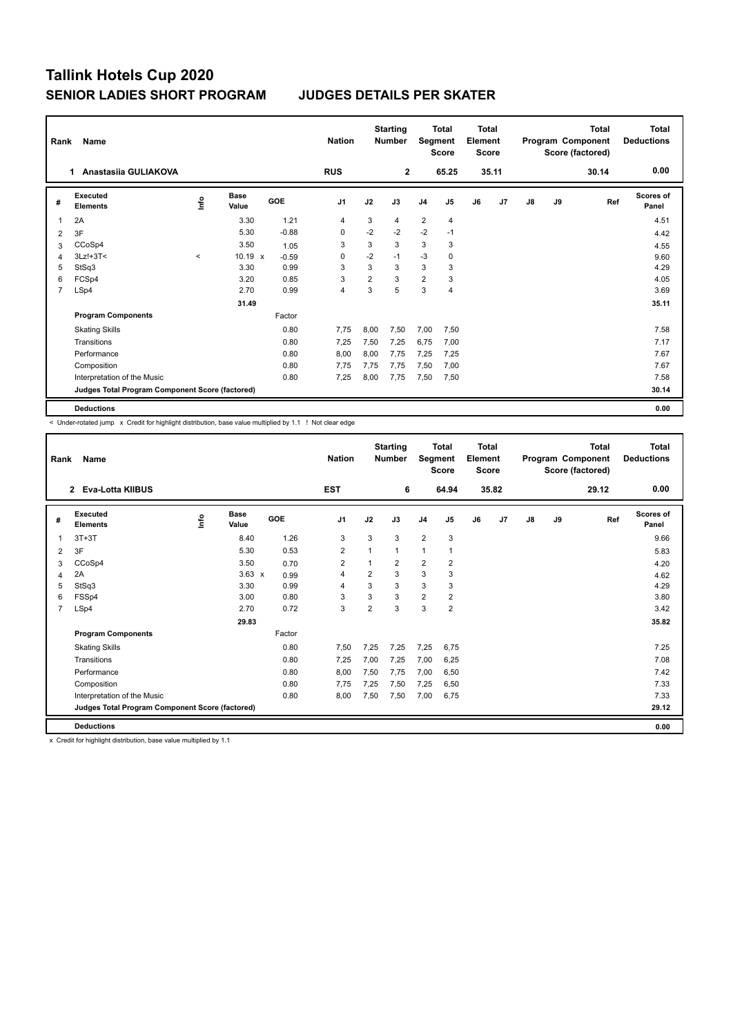| Rank | Name                                            |          |                      |            | <b>Nation</b>  |                | <b>Starting</b><br><b>Number</b> | Segment        | Total<br><b>Score</b> | <b>Total</b><br>Element<br><b>Score</b> |       |    |    | <b>Total</b><br>Program Component<br>Score (factored) | <b>Total</b><br><b>Deductions</b> |
|------|-------------------------------------------------|----------|----------------------|------------|----------------|----------------|----------------------------------|----------------|-----------------------|-----------------------------------------|-------|----|----|-------------------------------------------------------|-----------------------------------|
|      | Anastasiia GULIAKOVA<br>1.                      |          |                      |            | <b>RUS</b>     |                | $\mathbf{2}$                     |                | 65.25                 |                                         | 35.11 |    |    | 30.14                                                 | 0.00                              |
| #    | <b>Executed</b><br><b>Elements</b>              | ١nf٥     | <b>Base</b><br>Value | <b>GOE</b> | J <sub>1</sub> | J2             | J3                               | J <sub>4</sub> | J5                    | J6                                      | J7    | J8 | J9 | Ref                                                   | Scores of<br>Panel                |
| 1    | 2A                                              |          | 3.30                 | 1.21       | 4              | 3              | 4                                | $\overline{2}$ | 4                     |                                         |       |    |    |                                                       | 4.51                              |
| 2    | 3F                                              |          | 5.30                 | $-0.88$    | 0              | $-2$           | $-2$                             | $-2$           | $-1$                  |                                         |       |    |    |                                                       | 4.42                              |
| 3    | CCoSp4                                          |          | 3.50                 | 1.05       | 3              | 3              | 3                                | 3              | 3                     |                                         |       |    |    |                                                       | 4.55                              |
| 4    | $3Lz! + 3T <$                                   | $\hat{}$ | 10.19 x              | $-0.59$    | 0              | $-2$           | $-1$                             | $-3$           | 0                     |                                         |       |    |    |                                                       | 9.60                              |
| 5    | StSq3                                           |          | 3.30                 | 0.99       | 3              | 3              | 3                                | 3              | 3                     |                                         |       |    |    |                                                       | 4.29                              |
| 6    | FCSp4                                           |          | 3.20                 | 0.85       | 3              | $\overline{2}$ | 3                                | $\overline{2}$ | 3                     |                                         |       |    |    |                                                       | 4.05                              |
| 7    | LSp4                                            |          | 2.70                 | 0.99       | 4              | 3              | 5                                | 3              | $\overline{4}$        |                                         |       |    |    |                                                       | 3.69                              |
|      |                                                 |          | 31.49                |            |                |                |                                  |                |                       |                                         |       |    |    |                                                       | 35.11                             |
|      | <b>Program Components</b>                       |          |                      | Factor     |                |                |                                  |                |                       |                                         |       |    |    |                                                       |                                   |
|      | <b>Skating Skills</b>                           |          |                      | 0.80       | 7.75           | 8,00           | 7,50                             | 7,00           | 7,50                  |                                         |       |    |    |                                                       | 7.58                              |
|      | Transitions                                     |          |                      | 0.80       | 7.25           | 7,50           | 7,25                             | 6,75           | 7,00                  |                                         |       |    |    |                                                       | 7.17                              |
|      | Performance                                     |          |                      | 0.80       | 8,00           | 8,00           | 7.75                             | 7,25           | 7,25                  |                                         |       |    |    |                                                       | 7.67                              |
|      | Composition                                     |          |                      | 0.80       | 7,75           | 7,75           | 7,75                             | 7,50           | 7,00                  |                                         |       |    |    |                                                       | 7.67                              |
|      | Interpretation of the Music                     |          |                      | 0.80       | 7,25           | 8,00           | 7,75                             | 7,50           | 7,50                  |                                         |       |    |    |                                                       | 7.58                              |
|      | Judges Total Program Component Score (factored) |          |                      |            |                |                |                                  |                |                       |                                         |       |    |    |                                                       | 30.14                             |
|      | <b>Deductions</b>                               |          |                      |            |                |                |                                  |                |                       |                                         |       |    |    |                                                       | 0.00                              |

< Under-rotated jump x Credit for highlight distribution, base value multiplied by 1.1 ! Not clear edge

| Rank           | Name                                            |            |                      |        | <b>Nation</b>  |                | <b>Starting</b><br><b>Number</b> | Segment        | <b>Total</b><br><b>Score</b> | <b>Total</b><br>Element<br><b>Score</b> |       |    |    | <b>Total</b><br>Program Component<br>Score (factored) | <b>Total</b><br><b>Deductions</b> |
|----------------|-------------------------------------------------|------------|----------------------|--------|----------------|----------------|----------------------------------|----------------|------------------------------|-----------------------------------------|-------|----|----|-------------------------------------------------------|-----------------------------------|
|                | 2 Eva-Lotta KIIBUS                              |            |                      |        | <b>EST</b>     |                | 6                                |                | 64.94                        |                                         | 35.82 |    |    | 29.12                                                 | 0.00                              |
| #              | Executed<br><b>Elements</b>                     | <b>Lin</b> | <b>Base</b><br>Value | GOE    | J <sub>1</sub> | J2             | J3                               | J <sub>4</sub> | J5                           | J6                                      | J7    | J8 | J9 | Ref                                                   | Scores of<br>Panel                |
|                | $3T+3T$                                         |            | 8.40                 | 1.26   | 3              | 3              | 3                                | $\overline{2}$ | 3                            |                                         |       |    |    |                                                       | 9.66                              |
| 2              | 3F                                              |            | 5.30                 | 0.53   | $\overline{2}$ | $\mathbf{1}$   | 1                                | $\mathbf{1}$   | 1                            |                                         |       |    |    |                                                       | 5.83                              |
| 3              | CCoSp4                                          |            | 3.50                 | 0.70   | 2              | 1              | 2                                | $\overline{2}$ | 2                            |                                         |       |    |    |                                                       | 4.20                              |
| 4              | 2A                                              |            | $3.63 \times$        | 0.99   | 4              | 2              | 3                                | 3              | 3                            |                                         |       |    |    |                                                       | 4.62                              |
| 5              | StSq3                                           |            | 3.30                 | 0.99   | 4              | 3              | 3                                | 3              | 3                            |                                         |       |    |    |                                                       | 4.29                              |
| 6              | FSSp4                                           |            | 3.00                 | 0.80   | 3              | 3              | 3                                | $\overline{2}$ | $\overline{2}$               |                                         |       |    |    |                                                       | 3.80                              |
| $\overline{7}$ | LSp4                                            |            | 2.70                 | 0.72   | 3              | $\overline{2}$ | 3                                | 3              | $\overline{2}$               |                                         |       |    |    |                                                       | 3.42                              |
|                |                                                 |            | 29.83                |        |                |                |                                  |                |                              |                                         |       |    |    |                                                       | 35.82                             |
|                | <b>Program Components</b>                       |            |                      | Factor |                |                |                                  |                |                              |                                         |       |    |    |                                                       |                                   |
|                | <b>Skating Skills</b>                           |            |                      | 0.80   | 7,50           | 7,25           | 7.25                             | 7,25           | 6,75                         |                                         |       |    |    |                                                       | 7.25                              |
|                | Transitions                                     |            |                      | 0.80   | 7,25           | 7,00           | 7.25                             | 7,00           | 6,25                         |                                         |       |    |    |                                                       | 7.08                              |
|                | Performance                                     |            |                      | 0.80   | 8,00           | 7,50           | 7.75                             | 7,00           | 6,50                         |                                         |       |    |    |                                                       | 7.42                              |
|                | Composition                                     |            |                      | 0.80   | 7,75           | 7,25           | 7,50                             | 7,25           | 6,50                         |                                         |       |    |    |                                                       | 7.33                              |
|                | Interpretation of the Music                     |            |                      | 0.80   | 8.00           | 7,50           | 7.50                             | 7,00           | 6.75                         |                                         |       |    |    |                                                       | 7.33                              |
|                | Judges Total Program Component Score (factored) |            |                      |        |                |                |                                  |                |                              |                                         |       |    |    |                                                       | 29.12                             |
|                | <b>Deductions</b>                               |            |                      |        |                |                |                                  |                |                              |                                         |       |    |    |                                                       | 0.00                              |

x Credit for highlight distribution, base value multiplied by 1.1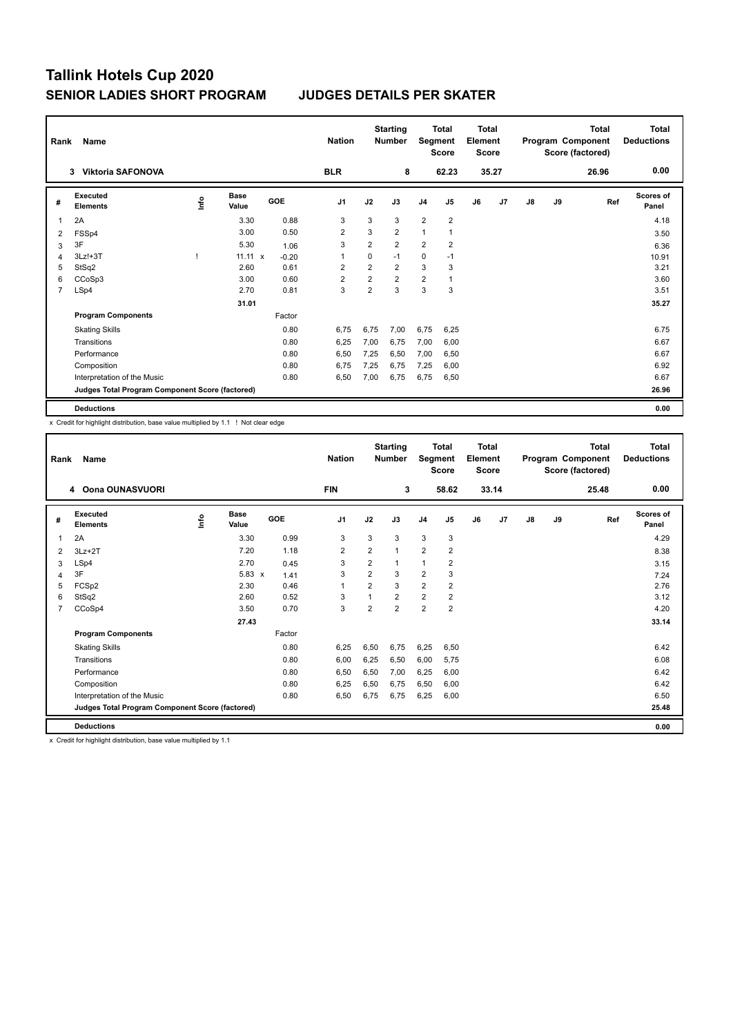| Rank | Name                                            |    |                      |         | <b>Nation</b>  |                | <b>Starting</b><br><b>Number</b> |                | Total<br>Segment<br><b>Score</b> | <b>Total</b><br>Element<br><b>Score</b> |       |               |    | <b>Total</b><br>Program Component<br>Score (factored) | <b>Total</b><br><b>Deductions</b> |
|------|-------------------------------------------------|----|----------------------|---------|----------------|----------------|----------------------------------|----------------|----------------------------------|-----------------------------------------|-------|---------------|----|-------------------------------------------------------|-----------------------------------|
|      | <b>Viktoria SAFONOVA</b><br>3                   |    |                      |         | <b>BLR</b>     |                | 8                                |                | 62.23                            |                                         | 35.27 |               |    | 26.96                                                 | 0.00                              |
| #    | Executed<br><b>Elements</b>                     | ۴ů | <b>Base</b><br>Value | GOE     | J <sub>1</sub> | J2             | J3                               | J <sub>4</sub> | J <sub>5</sub>                   | J6                                      | J7    | $\mathsf{J}8$ | J9 | Ref                                                   | Scores of<br>Panel                |
|      | 2A                                              |    | 3.30                 | 0.88    | 3              | 3              | 3                                | $\overline{2}$ | $\overline{\mathbf{c}}$          |                                         |       |               |    |                                                       | 4.18                              |
| 2    | FSSp4                                           |    | 3.00                 | 0.50    | 2              | 3              | $\overline{2}$                   | 1              |                                  |                                         |       |               |    |                                                       | 3.50                              |
| 3    | 3F                                              |    | 5.30                 | 1.06    | 3              | $\overline{2}$ | $\overline{2}$                   | $\overline{2}$ | $\overline{\mathbf{c}}$          |                                         |       |               |    |                                                       | 6.36                              |
| 4    | 3Lz!+3T                                         |    | $11.11 \times$       | $-0.20$ | 1              | 0              | $-1$                             | $\mathbf 0$    | $-1$                             |                                         |       |               |    |                                                       | 10.91                             |
| 5    | StSq2                                           |    | 2.60                 | 0.61    | 2              | $\overline{2}$ | $\overline{2}$                   | 3              | 3                                |                                         |       |               |    |                                                       | 3.21                              |
| 6    | CCoSp3                                          |    | 3.00                 | 0.60    | $\overline{2}$ | $\overline{2}$ | $\overline{2}$                   | $\overline{2}$ | $\overline{1}$                   |                                         |       |               |    |                                                       | 3.60                              |
| 7    | LSp4                                            |    | 2.70                 | 0.81    | 3              | $\overline{2}$ | 3                                | 3              | 3                                |                                         |       |               |    |                                                       | 3.51                              |
|      |                                                 |    | 31.01                |         |                |                |                                  |                |                                  |                                         |       |               |    |                                                       | 35.27                             |
|      | <b>Program Components</b>                       |    |                      | Factor  |                |                |                                  |                |                                  |                                         |       |               |    |                                                       |                                   |
|      | <b>Skating Skills</b>                           |    |                      | 0.80    | 6,75           | 6,75           | 7,00                             | 6,75           | 6,25                             |                                         |       |               |    |                                                       | 6.75                              |
|      | Transitions                                     |    |                      | 0.80    | 6,25           | 7,00           | 6.75                             | 7,00           | 6,00                             |                                         |       |               |    |                                                       | 6.67                              |
|      | Performance                                     |    |                      | 0.80    | 6,50           | 7,25           | 6.50                             | 7,00           | 6,50                             |                                         |       |               |    |                                                       | 6.67                              |
|      | Composition                                     |    |                      | 0.80    | 6,75           | 7,25           | 6,75                             | 7,25           | 6,00                             |                                         |       |               |    |                                                       | 6.92                              |
|      | Interpretation of the Music                     |    |                      | 0.80    | 6,50           | 7,00           | 6,75                             | 6,75           | 6,50                             |                                         |       |               |    |                                                       | 6.67                              |
|      | Judges Total Program Component Score (factored) |    |                      |         |                |                |                                  |                |                                  |                                         |       |               |    |                                                       | 26.96                             |
|      | <b>Deductions</b>                               |    |                      |         |                |                |                                  |                |                                  |                                         |       |               |    |                                                       | 0.00                              |

x Credit for highlight distribution, base value multiplied by 1.1 ! Not clear edge

| Rank | Name                                            |             |                      |            | <b>Nation</b>  |                | <b>Starting</b><br><b>Number</b> | Segment        | <b>Total</b><br><b>Score</b> | <b>Total</b><br>Element<br><b>Score</b> |       |               |    | <b>Total</b><br>Program Component<br>Score (factored) | <b>Total</b><br><b>Deductions</b> |
|------|-------------------------------------------------|-------------|----------------------|------------|----------------|----------------|----------------------------------|----------------|------------------------------|-----------------------------------------|-------|---------------|----|-------------------------------------------------------|-----------------------------------|
|      | 4 Oona OUNASVUORI                               |             |                      |            | <b>FIN</b>     |                | 3                                |                | 58.62                        |                                         | 33.14 |               |    | 25.48                                                 | 0.00                              |
| #    | Executed<br><b>Elements</b>                     | <u>info</u> | <b>Base</b><br>Value | <b>GOE</b> | J <sub>1</sub> | J2             | J3                               | J <sub>4</sub> | J <sub>5</sub>               | J6                                      | J7    | $\mathsf{J}8$ | J9 | Ref                                                   | <b>Scores of</b><br>Panel         |
| 1    | 2A                                              |             | 3.30                 | 0.99       | 3              | 3              | 3                                | 3              | 3                            |                                         |       |               |    |                                                       | 4.29                              |
| 2    | $3Lz + 2T$                                      |             | 7.20                 | 1.18       | 2              | 2              | 1                                | $\overline{2}$ | 2                            |                                         |       |               |    |                                                       | 8.38                              |
| 3    | LSp4                                            |             | 2.70                 | 0.45       | 3              | $\overline{2}$ | $\mathbf 1$                      | $\mathbf{1}$   | 2                            |                                         |       |               |    |                                                       | 3.15                              |
| 4    | 3F                                              |             | 5.83<br>$\mathsf{x}$ | 1.41       | 3              | $\overline{2}$ | 3                                | $\overline{2}$ | 3                            |                                         |       |               |    |                                                       | 7.24                              |
| 5    | FCSp2                                           |             | 2.30                 | 0.46       | 1              | $\overline{2}$ | 3                                | $\overline{2}$ | 2                            |                                         |       |               |    |                                                       | 2.76                              |
| 6    | StSq2                                           |             | 2.60                 | 0.52       | 3              | 1              | $\overline{2}$                   | $\overline{2}$ | 2                            |                                         |       |               |    |                                                       | 3.12                              |
| 7    | CCoSp4                                          |             | 3.50                 | 0.70       | 3              | $\overline{2}$ | $\overline{2}$                   | $\overline{2}$ | $\overline{2}$               |                                         |       |               |    |                                                       | 4.20                              |
|      |                                                 |             | 27.43                |            |                |                |                                  |                |                              |                                         |       |               |    |                                                       | 33.14                             |
|      | <b>Program Components</b>                       |             |                      | Factor     |                |                |                                  |                |                              |                                         |       |               |    |                                                       |                                   |
|      | <b>Skating Skills</b>                           |             |                      | 0.80       | 6,25           | 6,50           | 6,75                             | 6,25           | 6,50                         |                                         |       |               |    |                                                       | 6.42                              |
|      | Transitions                                     |             |                      | 0.80       | 6,00           | 6,25           | 6,50                             | 6,00           | 5,75                         |                                         |       |               |    |                                                       | 6.08                              |
|      | Performance                                     |             |                      | 0.80       | 6,50           | 6,50           | 7,00                             | 6,25           | 6,00                         |                                         |       |               |    |                                                       | 6.42                              |
|      | Composition                                     |             |                      | 0.80       | 6,25           | 6,50           | 6,75                             | 6,50           | 6,00                         |                                         |       |               |    |                                                       | 6.42                              |
|      | Interpretation of the Music                     |             |                      | 0.80       | 6,50           | 6,75           | 6,75                             | 6,25           | 6,00                         |                                         |       |               |    |                                                       | 6.50                              |
|      | Judges Total Program Component Score (factored) |             |                      |            |                |                |                                  |                |                              |                                         |       |               |    |                                                       | 25.48                             |
|      | <b>Deductions</b>                               |             |                      |            |                |                |                                  |                |                              |                                         |       |               |    |                                                       | 0.00                              |

x Credit for highlight distribution, base value multiplied by 1.1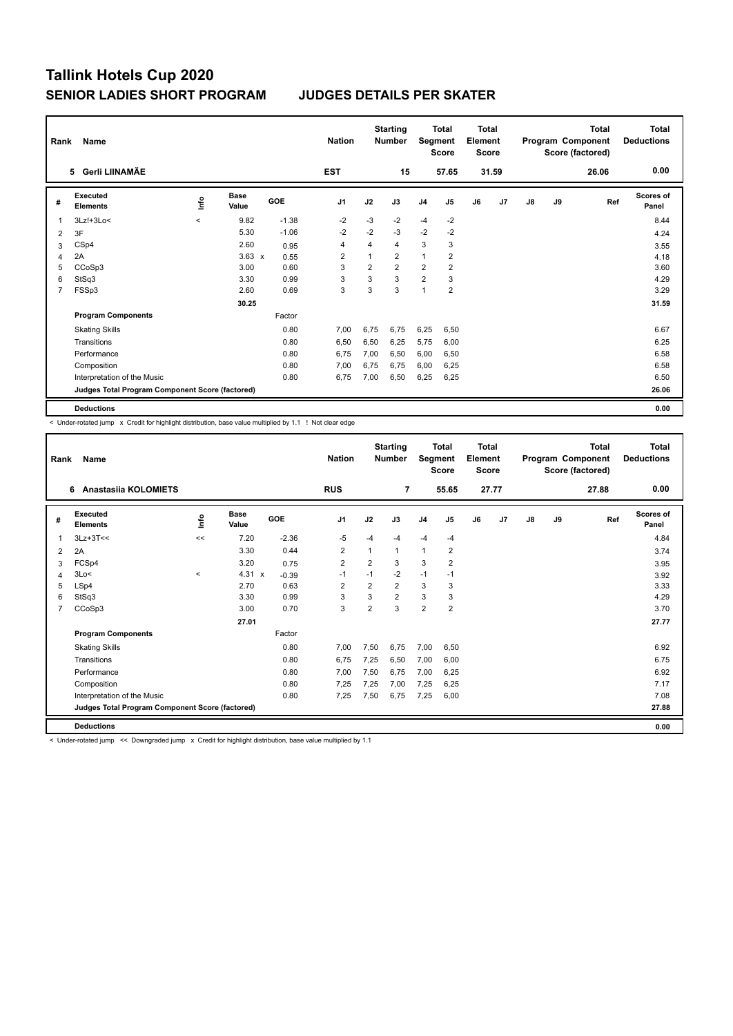| Rank           | Name<br>5 Gerli LIINAMÄE                        |         |                      |            |                |                | <b>Starting</b><br><b>Number</b> | Segment        | <b>Total</b><br><b>Score</b> | Total<br>Element<br><b>Score</b> |       |    |    | <b>Total</b><br>Program Component<br>Score (factored) | <b>Total</b><br><b>Deductions</b> |
|----------------|-------------------------------------------------|---------|----------------------|------------|----------------|----------------|----------------------------------|----------------|------------------------------|----------------------------------|-------|----|----|-------------------------------------------------------|-----------------------------------|
|                |                                                 |         |                      |            | <b>EST</b>     |                | 15                               |                | 57.65                        |                                  | 31.59 |    |    | 26.06                                                 | 0.00                              |
| #              | <b>Executed</b><br><b>Elements</b>              | ١nf٥    | <b>Base</b><br>Value | <b>GOE</b> | J <sub>1</sub> | J2             | J3                               | J <sub>4</sub> | J <sub>5</sub>               | J6                               | J7    | J8 | J9 | Ref                                                   | Scores of<br>Panel                |
| 1              | $3Lz! + 3Lo<$                                   | $\prec$ | 9.82                 | $-1.38$    | $-2$           | -3             | $-2$                             | $-4$           | $-2$                         |                                  |       |    |    |                                                       | 8.44                              |
| $\overline{2}$ | 3F                                              |         | 5.30                 | $-1.06$    | $-2$           | $-2$           | $-3$                             | $-2$           | $-2$                         |                                  |       |    |    |                                                       | 4.24                              |
| 3              | CSp4                                            |         | 2.60                 | 0.95       | 4              | 4              | 4                                | 3              | 3                            |                                  |       |    |    |                                                       | 3.55                              |
| 4              | 2A                                              |         | $3.63 \times$        | 0.55       | $\overline{2}$ | 1              | $\overline{2}$                   | 1              | $\overline{\mathbf{c}}$      |                                  |       |    |    |                                                       | 4.18                              |
| 5              | CCoSp3                                          |         | 3.00                 | 0.60       | 3              | $\overline{2}$ | $\overline{2}$                   | $\overline{2}$ | $\overline{2}$               |                                  |       |    |    |                                                       | 3.60                              |
| 6              | StSq3                                           |         | 3.30                 | 0.99       | 3              | 3              | 3                                | $\overline{2}$ | 3                            |                                  |       |    |    |                                                       | 4.29                              |
| 7              | FSSp3                                           |         | 2.60                 | 0.69       | 3              | 3              | 3                                | 1              | $\overline{2}$               |                                  |       |    |    |                                                       | 3.29                              |
|                |                                                 |         | 30.25                |            |                |                |                                  |                |                              |                                  |       |    |    |                                                       | 31.59                             |
|                | <b>Program Components</b>                       |         |                      | Factor     |                |                |                                  |                |                              |                                  |       |    |    |                                                       |                                   |
|                | <b>Skating Skills</b>                           |         |                      | 0.80       | 7,00           | 6,75           | 6,75                             | 6,25           | 6,50                         |                                  |       |    |    |                                                       | 6.67                              |
|                | Transitions                                     |         |                      | 0.80       | 6,50           | 6,50           | 6,25                             | 5,75           | 6,00                         |                                  |       |    |    |                                                       | 6.25                              |
|                | Performance                                     |         |                      | 0.80       | 6.75           | 7,00           | 6.50                             | 6,00           | 6,50                         |                                  |       |    |    |                                                       | 6.58                              |
|                | Composition                                     |         |                      | 0.80       | 7,00           | 6,75           | 6,75                             | 6,00           | 6,25                         |                                  |       |    |    |                                                       | 6.58                              |
|                | Interpretation of the Music                     |         |                      | 0.80       | 6,75           | 7,00           | 6,50                             | 6,25           | 6,25                         |                                  |       |    |    |                                                       | 6.50                              |
|                | Judges Total Program Component Score (factored) |         |                      |            |                |                |                                  |                |                              |                                  |       |    |    |                                                       | 26.06                             |
|                | <b>Deductions</b>                               |         |                      |            |                |                |                                  |                |                              |                                  |       |    |    |                                                       | 0.00                              |

< Under-rotated jump x Credit for highlight distribution, base value multiplied by 1.1 ! Not clear edge

| Rank | Name                                            |             |                      |                         | <b>Nation</b>  |                | <b>Starting</b><br><b>Number</b> | Segment        | <b>Total</b><br><b>Score</b> | <b>Total</b><br>Element<br><b>Score</b> |       |    |    | <b>Total</b><br>Program Component<br>Score (factored) | Total<br><b>Deductions</b> |
|------|-------------------------------------------------|-------------|----------------------|-------------------------|----------------|----------------|----------------------------------|----------------|------------------------------|-----------------------------------------|-------|----|----|-------------------------------------------------------|----------------------------|
|      | Anastasija KOLOMIETS<br>6                       |             |                      |                         | <b>RUS</b>     |                | $\overline{7}$                   |                | 55.65                        |                                         | 27.77 |    |    | 27.88                                                 | 0.00                       |
| #    | Executed<br><b>Elements</b>                     | <u>info</u> | <b>Base</b><br>Value | <b>GOE</b>              | J <sub>1</sub> | J2             | J3                               | J <sub>4</sub> | J <sub>5</sub>               | J6                                      | J7    | J8 | J9 | Ref                                                   | Scores of<br>Panel         |
| 1    | $3Lz+3T<<$                                      | <<          | 7.20                 | $-2.36$                 | $-5$           | $-4$           | $-4$                             | $-4$           | $-4$                         |                                         |       |    |    |                                                       | 4.84                       |
| 2    | 2A                                              |             | 3.30                 | 0.44                    | $\overline{2}$ | 1              | 1                                | $\mathbf{1}$   | 2                            |                                         |       |    |    |                                                       | 3.74                       |
| 3    | FCSp4                                           |             | 3.20                 | 0.75                    | $\overline{2}$ | $\overline{2}$ | 3                                | 3              | $\overline{2}$               |                                         |       |    |    |                                                       | 3.95                       |
| 4    | 3Lo<                                            | $\prec$     | 4.31                 | $\mathsf{x}$<br>$-0.39$ | $-1$           | $-1$           | $-2$                             | $-1$           | $-1$                         |                                         |       |    |    |                                                       | 3.92                       |
| 5    | LSp4                                            |             | 2.70                 | 0.63                    | $\overline{2}$ | $\overline{2}$ | $\overline{2}$                   | 3              | 3                            |                                         |       |    |    |                                                       | 3.33                       |
| 6    | StSq3                                           |             | 3.30                 | 0.99                    | 3              | 3              | $\overline{2}$                   | 3              | 3                            |                                         |       |    |    |                                                       | 4.29                       |
| 7    | CCoSp3                                          |             | 3.00                 | 0.70                    | 3              | $\overline{2}$ | 3                                | $\overline{2}$ | $\overline{2}$               |                                         |       |    |    |                                                       | 3.70                       |
|      |                                                 |             | 27.01                |                         |                |                |                                  |                |                              |                                         |       |    |    |                                                       | 27.77                      |
|      | <b>Program Components</b>                       |             |                      | Factor                  |                |                |                                  |                |                              |                                         |       |    |    |                                                       |                            |
|      | <b>Skating Skills</b>                           |             |                      | 0.80                    | 7,00           | 7,50           | 6,75                             | 7,00           | 6,50                         |                                         |       |    |    |                                                       | 6.92                       |
|      | Transitions                                     |             |                      | 0.80                    | 6.75           | 7,25           | 6,50                             | 7,00           | 6,00                         |                                         |       |    |    |                                                       | 6.75                       |
|      | Performance                                     |             |                      | 0.80                    | 7,00           | 7,50           | 6,75                             | 7,00           | 6,25                         |                                         |       |    |    |                                                       | 6.92                       |
|      | Composition                                     |             |                      | 0.80                    | 7,25           | 7,25           | 7,00                             | 7,25           | 6,25                         |                                         |       |    |    |                                                       | 7.17                       |
|      | Interpretation of the Music                     |             |                      | 0.80                    | 7.25           | 7,50           | 6.75                             | 7,25           | 6.00                         |                                         |       |    |    |                                                       | 7.08                       |
|      | Judges Total Program Component Score (factored) |             |                      |                         |                |                |                                  |                |                              |                                         |       |    |    |                                                       | 27.88                      |
|      | <b>Deductions</b>                               |             |                      |                         |                |                |                                  |                |                              |                                         |       |    |    |                                                       | 0.00                       |

< Under-rotated jump << Downgraded jump x Credit for highlight distribution, base value multiplied by 1.1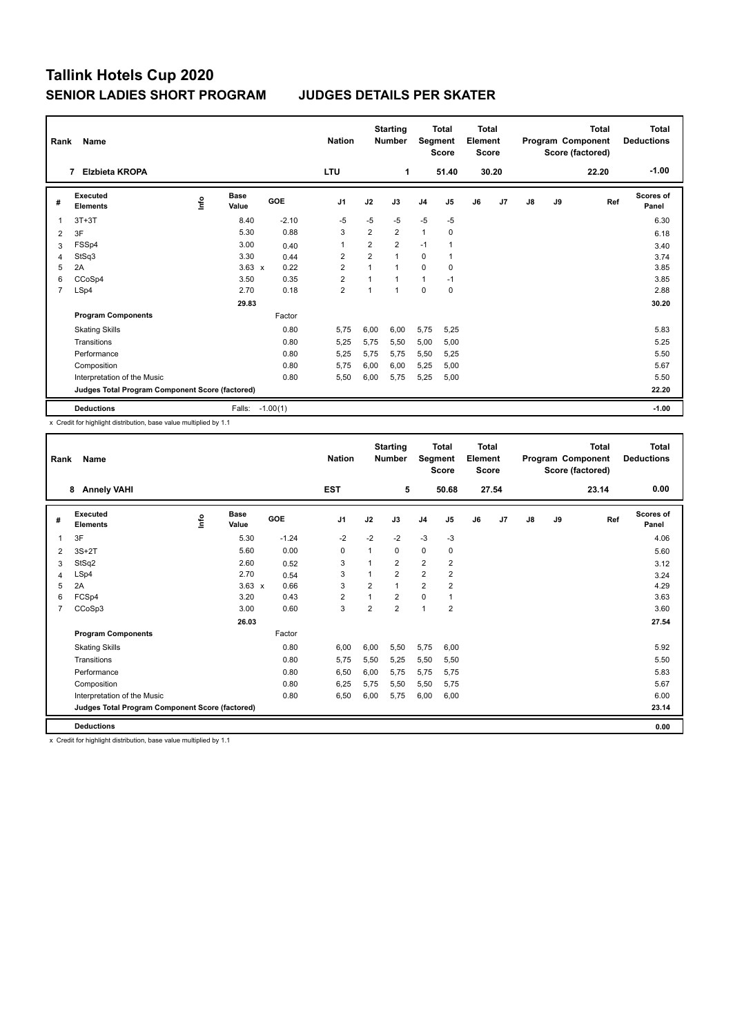| Rank | Name                                            |      |                      |            | <b>Nation</b>  |                | <b>Starting</b><br><b>Number</b> | Segment        | <b>Total</b><br><b>Score</b> | <b>Total</b><br>Element<br><b>Score</b> |       |    |    | Total<br>Program Component<br>Score (factored) | <b>Total</b><br><b>Deductions</b> |
|------|-------------------------------------------------|------|----------------------|------------|----------------|----------------|----------------------------------|----------------|------------------------------|-----------------------------------------|-------|----|----|------------------------------------------------|-----------------------------------|
|      | <b>Elzbieta KROPA</b><br>7                      |      |                      |            | <b>LTU</b>     |                | 1                                |                | 51.40                        |                                         | 30.20 |    |    | 22.20                                          | $-1.00$                           |
| #    | <b>Executed</b><br><b>Elements</b>              | ١nf٥ | <b>Base</b><br>Value | <b>GOE</b> | J <sub>1</sub> | J2             | J3                               | J <sub>4</sub> | J <sub>5</sub>               | J6                                      | J7    | J8 | J9 | Ref                                            | Scores of<br>Panel                |
| 1    | $3T+3T$                                         |      | 8.40                 | $-2.10$    | $-5$           | $-5$           | $-5$                             | $-5$           | $-5$                         |                                         |       |    |    |                                                | 6.30                              |
| 2    | 3F                                              |      | 5.30                 | 0.88       | 3              | $\overline{2}$ | $\overline{2}$                   | 1              | 0                            |                                         |       |    |    |                                                | 6.18                              |
| 3    | FSSp4                                           |      | 3.00                 | 0.40       | 1              | $\overline{2}$ | $\overline{2}$                   | $-1$           |                              |                                         |       |    |    |                                                | 3.40                              |
| 4    | StSq3                                           |      | 3.30                 | 0.44       | 2              | $\overline{2}$ | $\overline{ }$                   | 0              |                              |                                         |       |    |    |                                                | 3.74                              |
| 5    | 2A                                              |      | $3.63 \times$        | 0.22       | $\overline{2}$ | $\mathbf{1}$   | 1                                | $\Omega$       | 0                            |                                         |       |    |    |                                                | 3.85                              |
| 6    | CCoSp4                                          |      | 3.50                 | 0.35       | $\overline{2}$ | 1              | $\overline{1}$                   | $\mathbf{1}$   | $-1$                         |                                         |       |    |    |                                                | 3.85                              |
| 7    | LSp4                                            |      | 2.70                 | 0.18       | $\overline{2}$ | 1              | $\overline{1}$                   | 0              | $\mathbf 0$                  |                                         |       |    |    |                                                | 2.88                              |
|      |                                                 |      | 29.83                |            |                |                |                                  |                |                              |                                         |       |    |    |                                                | 30.20                             |
|      | <b>Program Components</b>                       |      |                      | Factor     |                |                |                                  |                |                              |                                         |       |    |    |                                                |                                   |
|      | <b>Skating Skills</b>                           |      |                      | 0.80       | 5,75           | 6,00           | 6,00                             | 5,75           | 5,25                         |                                         |       |    |    |                                                | 5.83                              |
|      | Transitions                                     |      |                      | 0.80       | 5,25           | 5,75           | 5,50                             | 5,00           | 5,00                         |                                         |       |    |    |                                                | 5.25                              |
|      | Performance                                     |      |                      | 0.80       | 5,25           | 5,75           | 5,75                             | 5,50           | 5,25                         |                                         |       |    |    |                                                | 5.50                              |
|      | Composition                                     |      |                      | 0.80       | 5.75           | 6,00           | 6,00                             | 5,25           | 5,00                         |                                         |       |    |    |                                                | 5.67                              |
|      | Interpretation of the Music                     |      |                      | 0.80       | 5,50           | 6,00           | 5,75                             | 5,25           | 5,00                         |                                         |       |    |    |                                                | 5.50                              |
|      | Judges Total Program Component Score (factored) |      |                      |            |                |                |                                  |                |                              |                                         |       |    |    |                                                | 22.20                             |
|      | <b>Deductions</b>                               |      | Falls:               | $-1.00(1)$ |                |                |                                  |                |                              |                                         |       |    |    |                                                | $-1.00$                           |

x Credit for highlight distribution, base value multiplied by 1.1

| Rank           | Name<br><b>Annely VAHI</b><br>8                 |      |                      |            | <b>Nation</b>  |                | <b>Starting</b><br><b>Number</b> | Segment        | <b>Total</b><br><b>Score</b> | <b>Total</b><br>Element<br><b>Score</b> |       |               |    | <b>Total</b><br>Program Component<br>Score (factored) | <b>Total</b><br><b>Deductions</b> |
|----------------|-------------------------------------------------|------|----------------------|------------|----------------|----------------|----------------------------------|----------------|------------------------------|-----------------------------------------|-------|---------------|----|-------------------------------------------------------|-----------------------------------|
|                |                                                 |      |                      |            | <b>EST</b>     |                | 5                                |                | 50.68                        |                                         | 27.54 |               |    | 23.14                                                 | 0.00                              |
| #              | <b>Executed</b><br><b>Elements</b>              | lnfo | <b>Base</b><br>Value | <b>GOE</b> | J <sub>1</sub> | J2             | J3                               | J <sub>4</sub> | J <sub>5</sub>               | J6                                      | J7    | $\mathsf{J}8$ | J9 | Ref                                                   | <b>Scores of</b><br>Panel         |
| 1              | 3F                                              |      | 5.30                 | $-1.24$    | $-2$           | $-2$           | $-2$                             | $-3$           | $-3$                         |                                         |       |               |    |                                                       | 4.06                              |
| 2              | $3S+2T$                                         |      | 5.60                 | 0.00       | 0              | 1              | 0                                | 0              | 0                            |                                         |       |               |    |                                                       | 5.60                              |
| 3              | StSq2                                           |      | 2.60                 | 0.52       | 3              |                | $\overline{2}$                   | $\overline{2}$ | $\overline{\mathbf{c}}$      |                                         |       |               |    |                                                       | 3.12                              |
| 4              | LSp4                                            |      | 2.70                 | 0.54       | 3              |                | 2                                | $\overline{2}$ | 2                            |                                         |       |               |    |                                                       | 3.24                              |
| 5              | 2A                                              |      | $3.63 \times$        | 0.66       | 3              | $\overline{2}$ | 1                                | $\overline{2}$ | $\overline{\mathbf{c}}$      |                                         |       |               |    |                                                       | 4.29                              |
| 6              | FCSp4                                           |      | 3.20                 | 0.43       | 2              |                | $\overline{2}$                   | $\mathbf 0$    | 1                            |                                         |       |               |    |                                                       | 3.63                              |
| $\overline{7}$ | CCoSp3                                          |      | 3.00                 | 0.60       | 3              | $\overline{2}$ | $\overline{2}$                   | $\mathbf{1}$   | $\overline{2}$               |                                         |       |               |    |                                                       | 3.60                              |
|                |                                                 |      | 26.03                |            |                |                |                                  |                |                              |                                         |       |               |    |                                                       | 27.54                             |
|                | <b>Program Components</b>                       |      |                      | Factor     |                |                |                                  |                |                              |                                         |       |               |    |                                                       |                                   |
|                | <b>Skating Skills</b>                           |      |                      | 0.80       | 6,00           | 6,00           | 5,50                             | 5,75           | 6,00                         |                                         |       |               |    |                                                       | 5.92                              |
|                | Transitions                                     |      |                      | 0.80       | 5,75           | 5,50           | 5,25                             | 5,50           | 5,50                         |                                         |       |               |    |                                                       | 5.50                              |
|                | Performance                                     |      |                      | 0.80       | 6,50           | 6,00           | 5.75                             | 5,75           | 5,75                         |                                         |       |               |    |                                                       | 5.83                              |
|                | Composition                                     |      |                      | 0.80       | 6,25           | 5,75           | 5,50                             | 5,50           | 5,75                         |                                         |       |               |    |                                                       | 5.67                              |
|                | Interpretation of the Music                     |      |                      | 0.80       | 6,50           | 6,00           | 5,75                             | 6,00           | 6,00                         |                                         |       |               |    |                                                       | 6.00                              |
|                | Judges Total Program Component Score (factored) |      |                      |            |                |                |                                  |                |                              |                                         |       |               |    |                                                       | 23.14                             |
|                | <b>Deductions</b>                               |      |                      |            |                |                |                                  |                |                              |                                         |       |               |    |                                                       | 0.00                              |
|                |                                                 | .    |                      |            |                |                |                                  |                |                              |                                         |       |               |    |                                                       |                                   |

x Credit for highlight distribution, base value multiplied by 1.1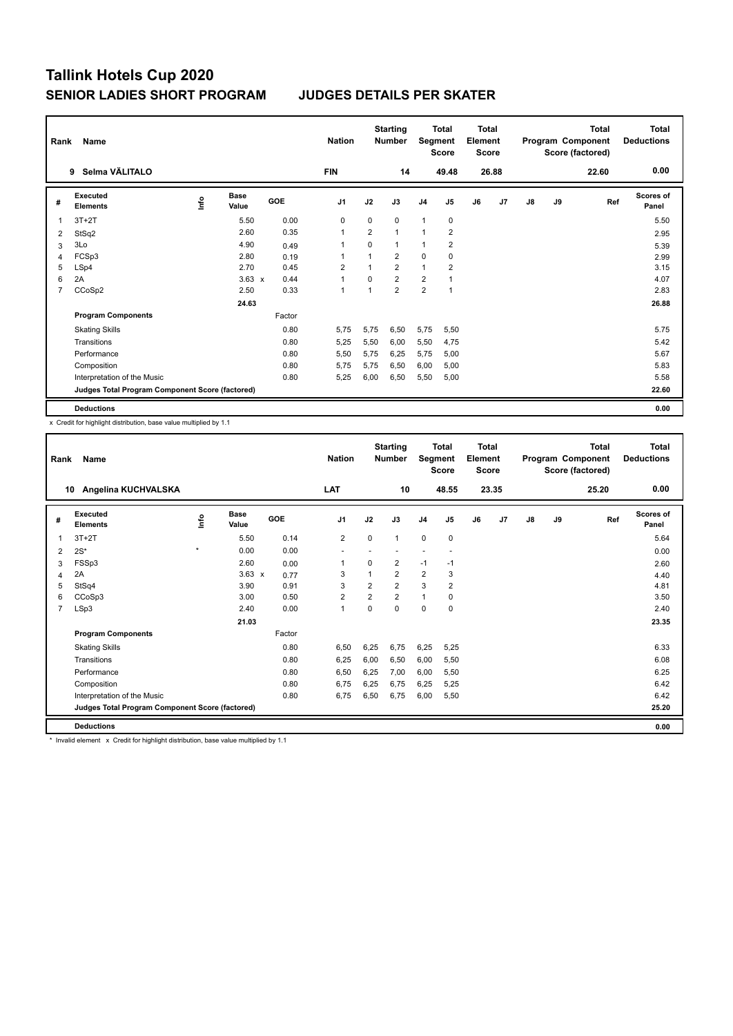| Rank           | Name                                            |      |                      |        | <b>Nation</b>  |                | <b>Starting</b><br><b>Number</b> | Segment        | <b>Total</b><br><b>Score</b> | <b>Total</b><br>Element<br><b>Score</b> |       |    |    | <b>Total</b><br>Program Component<br>Score (factored) | <b>Total</b><br><b>Deductions</b> |
|----------------|-------------------------------------------------|------|----------------------|--------|----------------|----------------|----------------------------------|----------------|------------------------------|-----------------------------------------|-------|----|----|-------------------------------------------------------|-----------------------------------|
|                | Selma VÄLITALO<br>9                             |      |                      |        | <b>FIN</b>     |                | 14                               |                | 49.48                        |                                         | 26.88 |    |    | 22.60                                                 | 0.00                              |
| #              | <b>Executed</b><br><b>Elements</b>              | ١nf٥ | <b>Base</b><br>Value | GOE    | J <sub>1</sub> | J2             | J3                               | J <sub>4</sub> | J5                           | J6                                      | J7    | J8 | J9 | Ref                                                   | <b>Scores of</b><br>Panel         |
| 1              | $3T+2T$                                         |      | 5.50                 | 0.00   | 0              | 0              | 0                                | 1              | 0                            |                                         |       |    |    |                                                       | 5.50                              |
| 2              | StSq2                                           |      | 2.60                 | 0.35   | $\overline{1}$ | $\overline{2}$ | $\mathbf{1}$                     | $\mathbf{1}$   | $\overline{2}$               |                                         |       |    |    |                                                       | 2.95                              |
| 3              | 3Lo                                             |      | 4.90                 | 0.49   | 1              | 0              | 1                                | 1              | $\overline{\mathbf{c}}$      |                                         |       |    |    |                                                       | 5.39                              |
| 4              | FCSp3                                           |      | 2.80                 | 0.19   | 1              | 1              | $\overline{2}$                   | 0              | 0                            |                                         |       |    |    |                                                       | 2.99                              |
| 5              | LSp4                                            |      | 2.70                 | 0.45   | $\overline{2}$ |                | $\overline{2}$                   | 1              | $\overline{2}$               |                                         |       |    |    |                                                       | 3.15                              |
| 6              | 2A                                              |      | $3.63 \times$        | 0.44   | $\overline{1}$ | $\Omega$       | $\overline{2}$                   | $\overline{2}$ |                              |                                         |       |    |    |                                                       | 4.07                              |
| $\overline{7}$ | CCoSp2                                          |      | 2.50                 | 0.33   | 1              | $\overline{1}$ | $\overline{2}$                   | $\overline{2}$ | $\mathbf{1}$                 |                                         |       |    |    |                                                       | 2.83                              |
|                |                                                 |      | 24.63                |        |                |                |                                  |                |                              |                                         |       |    |    |                                                       | 26.88                             |
|                | <b>Program Components</b>                       |      |                      | Factor |                |                |                                  |                |                              |                                         |       |    |    |                                                       |                                   |
|                | <b>Skating Skills</b>                           |      |                      | 0.80   | 5.75           | 5,75           | 6,50                             | 5,75           | 5,50                         |                                         |       |    |    |                                                       | 5.75                              |
|                | Transitions                                     |      |                      | 0.80   | 5,25           | 5,50           | 6,00                             | 5,50           | 4,75                         |                                         |       |    |    |                                                       | 5.42                              |
|                | Performance                                     |      |                      | 0.80   | 5.50           | 5.75           | 6.25                             | 5,75           | 5,00                         |                                         |       |    |    |                                                       | 5.67                              |
|                | Composition                                     |      |                      | 0.80   | 5,75           | 5,75           | 6,50                             | 6,00           | 5,00                         |                                         |       |    |    |                                                       | 5.83                              |
|                | Interpretation of the Music                     |      |                      | 0.80   | 5,25           | 6,00           | 6,50                             | 5,50           | 5,00                         |                                         |       |    |    |                                                       | 5.58                              |
|                | Judges Total Program Component Score (factored) |      |                      |        |                |                |                                  |                |                              |                                         |       |    |    |                                                       | 22.60                             |
|                | <b>Deductions</b>                               |      |                      |        |                |                |                                  |                |                              |                                         |       |    |    |                                                       | 0.00                              |

x Credit for highlight distribution, base value multiplied by 1.1

| Rank           | Name                                            |             |                      |        | <b>Nation</b>  |                | <b>Starting</b><br><b>Number</b> | Segment        | <b>Total</b><br><b>Score</b> | <b>Total</b><br>Element<br><b>Score</b> |       |    |    | <b>Total</b><br>Program Component<br>Score (factored) | <b>Total</b><br><b>Deductions</b> |
|----------------|-------------------------------------------------|-------------|----------------------|--------|----------------|----------------|----------------------------------|----------------|------------------------------|-----------------------------------------|-------|----|----|-------------------------------------------------------|-----------------------------------|
|                | Angelina KUCHVALSKA<br>10                       |             |                      |        | LAT            |                | 10                               |                | 48.55                        |                                         | 23.35 |    |    | 25.20                                                 | 0.00                              |
| #              | Executed<br><b>Elements</b>                     | <u>info</u> | <b>Base</b><br>Value | GOE    | J <sub>1</sub> | J2             | J3                               | J <sub>4</sub> | J5                           | J6                                      | J7    | J8 | J9 | Ref                                                   | <b>Scores of</b><br>Panel         |
| 1              | $3T+2T$                                         |             | 5.50                 | 0.14   | $\overline{2}$ | $\Omega$       | 1                                | $\mathbf 0$    | 0                            |                                         |       |    |    |                                                       | 5.64                              |
| 2              | $2S^*$                                          | $\star$     | 0.00                 | 0.00   |                |                |                                  |                |                              |                                         |       |    |    |                                                       | 0.00                              |
| 3              | FSSp3                                           |             | 2.60                 | 0.00   | $\mathbf{1}$   | $\Omega$       | 2                                | $-1$           | $-1$                         |                                         |       |    |    |                                                       | 2.60                              |
| 4              | 2A                                              |             | $3.63 \times$        | 0.77   | 3              |                | $\overline{2}$                   | $\overline{2}$ | 3                            |                                         |       |    |    |                                                       | 4.40                              |
| 5              | StSq4                                           |             | 3.90                 | 0.91   | 3              | $\overline{2}$ | $\overline{2}$                   | 3              | 2                            |                                         |       |    |    |                                                       | 4.81                              |
| 6              | CCoSp3                                          |             | 3.00                 | 0.50   | $\overline{2}$ | $\overline{2}$ | $\overline{2}$                   | $\mathbf{1}$   | 0                            |                                         |       |    |    |                                                       | 3.50                              |
| $\overline{7}$ | LSp3                                            |             | 2.40                 | 0.00   | $\mathbf{1}$   | $\Omega$       | $\Omega$                         | $\mathbf 0$    | 0                            |                                         |       |    |    |                                                       | 2.40                              |
|                |                                                 |             | 21.03                |        |                |                |                                  |                |                              |                                         |       |    |    |                                                       | 23.35                             |
|                | <b>Program Components</b>                       |             |                      | Factor |                |                |                                  |                |                              |                                         |       |    |    |                                                       |                                   |
|                | <b>Skating Skills</b>                           |             |                      | 0.80   | 6.50           | 6,25           | 6.75                             | 6,25           | 5,25                         |                                         |       |    |    |                                                       | 6.33                              |
|                | Transitions                                     |             |                      | 0.80   | 6,25           | 6,00           | 6.50                             | 6,00           | 5,50                         |                                         |       |    |    |                                                       | 6.08                              |
|                | Performance                                     |             |                      | 0.80   | 6,50           | 6,25           | 7.00                             | 6,00           | 5,50                         |                                         |       |    |    |                                                       | 6.25                              |
|                | Composition                                     |             |                      | 0.80   | 6,75           | 6,25           | 6,75                             | 6,25           | 5,25                         |                                         |       |    |    |                                                       | 6.42                              |
|                | Interpretation of the Music                     |             |                      | 0.80   | 6.75           | 6,50           | 6,75                             | 6,00           | 5,50                         |                                         |       |    |    |                                                       | 6.42                              |
|                | Judges Total Program Component Score (factored) |             |                      |        |                |                |                                  |                |                              |                                         |       |    |    |                                                       | 25.20                             |
|                | <b>Deductions</b>                               |             |                      |        |                |                |                                  |                |                              |                                         |       |    |    |                                                       | 0.00                              |

\* Invalid element x Credit for highlight distribution, base value multiplied by 1.1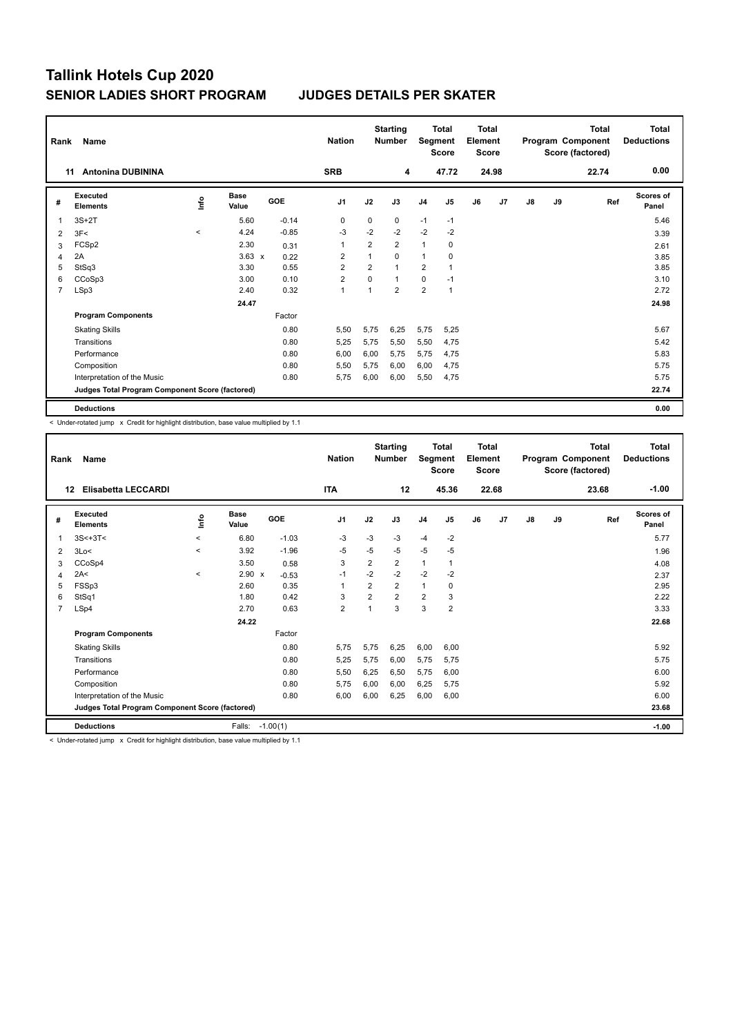| Rank           | Name<br><b>Antonina DUBININA</b><br>11          |                     |                      |         |                |                | <b>Starting</b><br><b>Number</b> |                | Total<br>Segment<br><b>Score</b> | <b>Total</b><br>Element<br><b>Score</b> |       |               |    | <b>Total</b><br>Program Component<br>Score (factored) | <b>Total</b><br><b>Deductions</b> |
|----------------|-------------------------------------------------|---------------------|----------------------|---------|----------------|----------------|----------------------------------|----------------|----------------------------------|-----------------------------------------|-------|---------------|----|-------------------------------------------------------|-----------------------------------|
|                |                                                 |                     |                      |         | <b>SRB</b>     |                | 4                                |                | 47.72                            |                                         | 24.98 |               |    | 22.74                                                 | 0.00                              |
| #              | Executed<br><b>Elements</b>                     | Linfo               | <b>Base</b><br>Value | GOE     | J <sub>1</sub> | J2             | J3                               | J <sub>4</sub> | J <sub>5</sub>                   | J6                                      | J7    | $\mathsf{J}8$ | J9 | Ref                                                   | Scores of<br>Panel                |
|                | $3S+2T$                                         |                     | 5.60                 | $-0.14$ | 0              | 0              | 0                                | $-1$           | $-1$                             |                                         |       |               |    |                                                       | 5.46                              |
| $\overline{2}$ | 3F<                                             | $\hat{\phantom{a}}$ | 4.24                 | $-0.85$ | $-3$           | $-2$           | $-2$                             | $-2$           | $-2$                             |                                         |       |               |    |                                                       | 3.39                              |
| 3              | FCSp2                                           |                     | 2.30                 | 0.31    | 1              | $\overline{2}$ | $\overline{2}$                   | $\mathbf{1}$   | 0                                |                                         |       |               |    |                                                       | 2.61                              |
| 4              | 2A                                              |                     | $3.63 \times$        | 0.22    | $\overline{2}$ | 1              | $\Omega$                         | 1              | 0                                |                                         |       |               |    |                                                       | 3.85                              |
| 5              | StSq3                                           |                     | 3.30                 | 0.55    | $\overline{2}$ | $\overline{2}$ | $\overline{1}$                   | $\overline{2}$ | $\overline{1}$                   |                                         |       |               |    |                                                       | 3.85                              |
| 6              | CCoSp3                                          |                     | 3.00                 | 0.10    | $\overline{2}$ | 0              | $\mathbf{1}$                     | $\mathbf 0$    | $-1$                             |                                         |       |               |    |                                                       | 3.10                              |
| 7              | LSp3                                            |                     | 2.40                 | 0.32    | 1              | 1              | $\overline{2}$                   | $\overline{2}$ | $\overline{1}$                   |                                         |       |               |    |                                                       | 2.72                              |
|                |                                                 |                     | 24.47                |         |                |                |                                  |                |                                  |                                         |       |               |    |                                                       | 24.98                             |
|                | <b>Program Components</b>                       |                     |                      | Factor  |                |                |                                  |                |                                  |                                         |       |               |    |                                                       |                                   |
|                | <b>Skating Skills</b>                           |                     |                      | 0.80    | 5,50           | 5,75           | 6.25                             | 5,75           | 5,25                             |                                         |       |               |    |                                                       | 5.67                              |
|                | Transitions                                     |                     |                      | 0.80    | 5,25           | 5,75           | 5,50                             | 5,50           | 4,75                             |                                         |       |               |    |                                                       | 5.42                              |
|                | Performance                                     |                     |                      | 0.80    | 6,00           | 6,00           | 5.75                             | 5,75           | 4,75                             |                                         |       |               |    |                                                       | 5.83                              |
|                | Composition                                     |                     |                      | 0.80    | 5,50           | 5,75           | 6,00                             | 6,00           | 4,75                             |                                         |       |               |    |                                                       | 5.75                              |
|                | Interpretation of the Music                     |                     |                      | 0.80    | 5,75           | 6,00           | 6,00                             | 5,50           | 4,75                             |                                         |       |               |    |                                                       | 5.75                              |
|                | Judges Total Program Component Score (factored) |                     |                      |         |                |                |                                  |                |                                  |                                         |       |               |    |                                                       | 22.74                             |
|                | <b>Deductions</b>                               |                     |                      |         |                |                |                                  |                |                                  |                                         |       |               |    |                                                       | 0.00                              |

< Under-rotated jump x Credit for highlight distribution, base value multiplied by 1.1

| Rank | Name                                            |            |                      |            | <b>Nation</b>  |                | <b>Starting</b><br><b>Number</b> | Segment        | <b>Total</b><br><b>Score</b> | Total<br>Element<br><b>Score</b> |       |               |    | <b>Total</b><br>Program Component<br>Score (factored) | <b>Total</b><br><b>Deductions</b> |
|------|-------------------------------------------------|------------|----------------------|------------|----------------|----------------|----------------------------------|----------------|------------------------------|----------------------------------|-------|---------------|----|-------------------------------------------------------|-----------------------------------|
| 12   | <b>Elisabetta LECCARDI</b>                      |            |                      |            | <b>ITA</b>     |                | 12                               |                | 45.36                        |                                  | 22.68 |               |    | 23.68                                                 | $-1.00$                           |
| #    | Executed<br><b>Elements</b>                     | <b>Lin</b> | <b>Base</b><br>Value | <b>GOE</b> | J <sub>1</sub> | J2             | J3                               | J <sub>4</sub> | J <sub>5</sub>               | J6                               | J7    | $\mathsf{J}8$ | J9 | Ref                                                   | Scores of<br>Panel                |
| 1    | $3S < +3T <$                                    | $\prec$    | 6.80                 | $-1.03$    | $-3$           | $-3$           | $-3$                             | $-4$           | $-2$                         |                                  |       |               |    |                                                       | 5.77                              |
| 2    | 3Lo<                                            | $\prec$    | 3.92                 | $-1.96$    | $-5$           | $-5$           | $-5$                             | $-5$           | $-5$                         |                                  |       |               |    |                                                       | 1.96                              |
| 3    | CCoSp4                                          |            | 3.50                 | 0.58       | 3              | $\overline{2}$ | $\overline{2}$                   | $\mathbf{1}$   | 1                            |                                  |       |               |    |                                                       | 4.08                              |
| 4    | 2A<                                             | $\prec$    | 2.90<br>$\mathbf{x}$ | $-0.53$    | $-1$           | $-2$           | $-2$                             | $-2$           | $-2$                         |                                  |       |               |    |                                                       | 2.37                              |
| 5    | FSSp3                                           |            | 2.60                 | 0.35       | 1              | $\overline{2}$ | $\overline{2}$                   | $\mathbf{1}$   | 0                            |                                  |       |               |    |                                                       | 2.95                              |
| 6    | StSq1                                           |            | 1.80                 | 0.42       | 3              | $\overline{2}$ | $\overline{2}$                   | $\overline{2}$ | 3                            |                                  |       |               |    |                                                       | 2.22                              |
| 7    | LSp4                                            |            | 2.70                 | 0.63       | $\overline{2}$ | 1              | 3                                | 3              | $\overline{2}$               |                                  |       |               |    |                                                       | 3.33                              |
|      |                                                 |            | 24.22                |            |                |                |                                  |                |                              |                                  |       |               |    |                                                       | 22.68                             |
|      | <b>Program Components</b>                       |            |                      | Factor     |                |                |                                  |                |                              |                                  |       |               |    |                                                       |                                   |
|      | <b>Skating Skills</b>                           |            |                      | 0.80       | 5,75           | 5,75           | 6,25                             | 6,00           | 6,00                         |                                  |       |               |    |                                                       | 5.92                              |
|      | Transitions                                     |            |                      | 0.80       | 5,25           | 5,75           | 6,00                             | 5,75           | 5,75                         |                                  |       |               |    |                                                       | 5.75                              |
|      | Performance                                     |            |                      | 0.80       | 5,50           | 6,25           | 6,50                             | 5,75           | 6,00                         |                                  |       |               |    |                                                       | 6.00                              |
|      | Composition                                     |            |                      | 0.80       | 5,75           | 6,00           | 6,00                             | 6,25           | 5,75                         |                                  |       |               |    |                                                       | 5.92                              |
|      | Interpretation of the Music                     |            |                      | 0.80       | 6,00           | 6,00           | 6,25                             | 6,00           | 6,00                         |                                  |       |               |    |                                                       | 6.00                              |
|      | Judges Total Program Component Score (factored) |            |                      |            |                |                |                                  |                |                              |                                  |       |               |    |                                                       | 23.68                             |
|      | <b>Deductions</b>                               |            | Falls:               | $-1.00(1)$ |                |                |                                  |                |                              |                                  |       |               |    |                                                       | $-1.00$                           |

< Under-rotated jump x Credit for highlight distribution, base value multiplied by 1.1